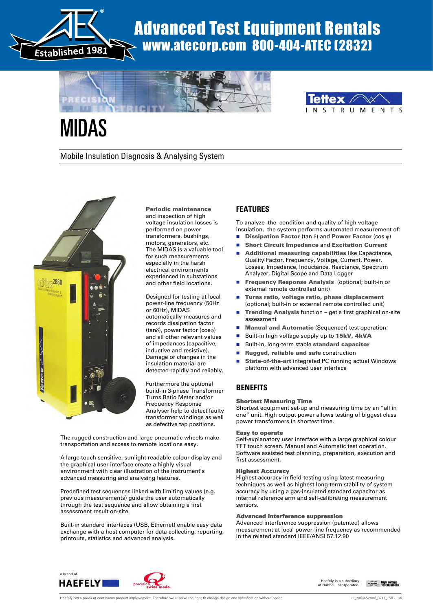

# Advanced Test Equipment Rentals www.atecorp.com 800-404-ATEC (2832)





# MIDAS

Mobile Insulation Diagnosis & Analysing System



Periodic maintenance and inspection of high voltage insulation losses is performed on power transformers, bushings, motors, generators, etc. The MIDAS is a valuable tool for such measurements especially in the harsh electrical environments experienced in substations and other field locations.

Designed for testing at local power-line frequency (50Hz or 60Hz), MIDAS automatically measures and records dissipation factor  $(tan\delta)$ , power factor (cos $\varphi$ ) and all other relevant values of impedances (capacitive, inductive and resistive). Damage or changes in the insulation material are detected rapidly and reliably.

Furthermore the optional build-in 3-phase Transformer Turns Ratio Meter and/or Frequency Response Analyser help to detect faulty transformer windings as well as defective tap positions.

The rugged construction and large pneumatic wheels make transportation and access to remote locations easy.

A large touch sensitive, sunlight readable colour display and the graphical user interface create a highly visual environment with clear illustration of the instrument's advanced measuring and analysing features.

Predefined test sequences linked with limiting values (e.g. previous measurements) guide the user automatically through the test sequence and allow obtaining a first assessment result on-site.

Built-in standard interfaces (USB, Ethernet) enable easy data exchange with a host computer for data collecting, reporting, printouts, statistics and advanced analysis.

## **FEATURES**

To analyze the condition and quality of high voltage insulation, the system performs automated measurement of:

- **Dissipation Factor** (tan  $\delta$ ) and **Power Factor** (cos  $\varphi$ )
- Short Circuit Impedance and Excitation Current
- Additional measuring capabilities like Capacitance, Quality Factor, Frequency, Voltage, Current, Power, Losses, Impedance, Inductance, Reactance, Spectrum Analyzer, Digital Scope and Data Logger
- **Frequency Response Analysis (optional; built-in or** external remote controlled unit)
- Turns ratio, voltage ratio, phase displacement (optional; built-in or external remote controlled unit)
- Trending Analysis function get a first graphical on-site assessment
- Manual and Automatic (Sequencer) test operation.
- Built-in high voltage supply up to 15kV, 4kVA
- Built-in, long-term stable standard capacitor
- Rugged, reliable and safe construction
- State-of-the-art integrated PC running actual Windows platform with advanced user interface

## **BENEFITS**

#### Shortest Measuring Time

Shortest equipment set-up and measuring time by an "all in one" unit. High output power allows testing of biggest class power transformers in shortest time.

#### Easy to operate

Self-explanatory user interface with a large graphical colour TFT touch screen. Manual and Automatic test operation. Software assisted test planning, preparation, execution and first assessment.

#### Highest Accuracy

Highest accuracy in field-testing using latest measuring techniques as well as highest long-term stability of system accuracy by using a gas-insulated standard capacitor as internal reference arm and self-calibrating measurement sensors.

#### Advanced interference suppression

Advanced interference suppression (patented) allows measurement at local power-line frequency as recommended in the related standard IEEE/ANSI 57.12.90



Haefely is a subsidiary of Hubbell Incorporated.

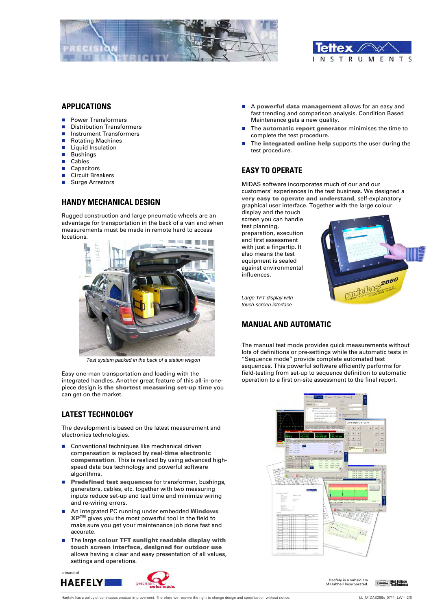



#### **APPLICATIONS**

- Power Transformers
- **Distribution Transformers**
- **Instrument Transformers**
- Rotating Machines
- Liquid Insulation
- Bushings
- **Cables**
- Capacitors
- Circuit Breakers
- Surge Arrestors

#### **HANDY MECHANICAL DESIGN**

Rugged construction and large pneumatic wheels are an advantage for transportation in the back of a van and when measurements must be made in remote hard to access locations.



*Test system packed in the back of a station wagon* 

Easy one-man transportation and loading with the integrated handles. Another great feature of this all-in-onepiece design is the shortest measuring set-up time you can get on the market.

# **LATEST TECHNOLOGY**

The development is based on the latest measurement and electronics technologies.

- Conventional techniques like mechanical driven compensation is replaced by real-time electronic compensation. This is realized by using advanced highspeed data bus technology and powerful software algorithms.
- **Predefined test sequences for transformer, bushings,** generators, cables, etc. together with two measuring inputs reduce set-up and test time and minimize wiring and re-wiring errors.
- An integrated PC running under embedded Windows XPTM gives you the most powerful tool in the field to make sure you get your maintenance job done fast and accurate.
- The large colour TFT sunlight readable display with touch screen interface, designed for outdoor use allows having a clear and easy presentation of all values, settings and operations.





- A powerful data management allows for an easy and fast trending and comparison analysis. Condition Based Maintenance gets a new quality.
- The **automatic report generator** minimises the time to complete the test procedure.
- $\blacksquare$  The integrated online help supports the user during the test procedure.

#### **EASY TO OPERATE**

MIDAS software incorporates much of our and our customers' experiences in the test business. We designed a very easy to operate and understand, self-explanatory graphical user interface. Together with the large colour

display and the touch screen you can handle test planning, preparation, execution and first assessment with just a fingertip. It also means the test equipment is sealed against environmental influences.



*Large TFT display with touch-screen interface* 

#### **MANUAL AND AUTOMATIC**

The manual test mode provides quick measurements without lots of definitions or pre-settings while the automatic tests in "Sequence mode" provide complete automated test sequences. This powerful software efficiently performs for field-testing from set-up to sequence definition to automatic operation to a first on-site assessment to the final report.



Haefely is a subsidiary of Hubbell Incorporated.

**High Voltage**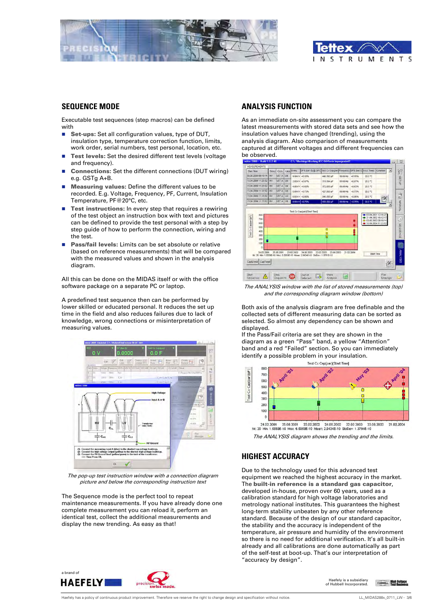



#### **SEQUENCE MODE**

Executable test sequences (step macros) can be defined with

- Set-ups: Set all configuration values, type of DUT, insulation type, temperature correction function, limits, work order, serial numbers, test personal, location, etc.
- Test levels: Set the desired different test levels (voltage and frequency).
- Connections: Set the different connections (DUT wiring) e.g. GSTg A+B.
- Measuring values: Define the different values to be recorded. E.g. Voltage, Frequency, PF, Current, Insulation Temperature, PF@20°C, etc.
- **Test instructions:** In every step that requires a rewiring of the test object an instruction box with text and pictures can be defined to provide the test personal with a step by step guide of how to perform the connection, wiring and the test.
- Pass/fail levels: Limits can be set absolute or relative (based on reference measurements) that will be compared with the measured values and shown in the analysis diagram.

All this can be done on the MIDAS itself or with the office software package on a separate PC or laptop.

A predefined test sequence then can be performed by lower skilled or educated personal. It reduces the set up time in the field and also reduces failures due to lack of knowledge, wrong connections or misinterpretation of measuring values.



The pop-up test instruction window with a connection diagram picture and below the corresponding instruction text

The Sequence mode is the perfect tool to repeat maintenance measurements. If you have already done one complete measurement you can reload it, perform an identical test, collect the additional measurements and display the new trending. As easy as that!

## **ANALYSIS FUNCTION**

As an immediate on-site assessment you can compare the latest measurements with stored data sets and see how the insulation values have changed (trending), using the analysis diagram. Also comparison of measurements captured at different voltages and different frequencies can be observed.



The ANALYSIS window with the list of stored measurements (top) and the corresponding diagram window (bottom)

Both axis of the analysis diagram are free definable and the collected sets of different measuring data can be sorted as selected. So almost any dependency can be shown and displayed.

If the Pass/Fail criteria are set they are shown in the diagram as a green "Pass" band, a yellow "Attention" band and a red "Failed" section. So you can immediately identify a possible problem in your insulation. Test Cx Cap(par)[Start Time]



The ANALYSIS diagram shows the trending and the limits.

#### **HIGHEST ACCURACY**

Due to the technology used for this advanced test equipment we reached the highest accuracy in the market. The built-in reference is a standard gas capacitor, developed in-house, proven over 60 years, used as a calibration standard for high voltage laboratories and metrology national institutes. This guarantees the highest long-term stability unbeaten by any other reference standard. Because of the design of our standard capacitor, the stability and the accuracy is independent of the temperature, air pressure and humidity of the environment so there is no need for additional verification. It's all built-in already and all calibrations are done automatically as part of the self-test at boot-up. That's our interpretation of "accuracy by design".



Haefely is a subsidiary of Hubbell Incorporated.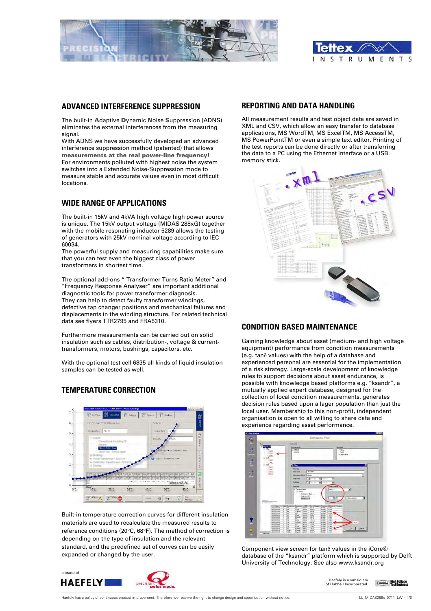



#### **ADVANCED INTERFERENCE SUPPRESSION**

The built-in Adaptive Dynamic Noise Suppression (ADNS) eliminates the external interferences from the measuring signal.

With ADNS we have successfully developed an advanced interference suppression method (patented) that allows measurements at the real power-line frequency! For environments polluted with highest noise the system switches into a Extended Noise-Suppression mode to measure stable and accurate values even in most difficult locations.

#### **WIDE RANGE OF APPLICATIONS**

The built-in 15kV and 4kVA high voltage high power source is unique. The 15kV output voltage (MIDAS 288xG) together with the mobile resonating inductor 5289 allows the testing of generators with 25kV nominal voltage according to IEC 60034.

The powerful supply and measuring capabilities make sure that you can test even the biggest class of power transformers in shortest time.

The optional add-ons " Transformer Turns Ratio Meter" and "Frequency Response Analyser" are important additional diagnostic tools for power transformer diagnosis. They can help to detect faulty transformer windings, defective tap changer positions and mechanical failures and displacements in the winding structure. For related technical data see flyers TTR2795 and FRA5310.

Furthermore measurements can be carried out on solid insulation such as cables, distribution-, voltage & currenttransformers, motors, bushings, capacitors, etc.

With the optional test cell 6835 all kinds of liquid insulation samples can be tested as well.

# **TEMPERATURE CORRECTION**



Built-in temperature correction curves for different insulation materials are used to recalculate the measured results to reference conditions (20°C, 68°F). The method of correction is depending on the type of insulation and the relevant standard, and the predefined set of curves can be easily expanded or changed by the user.



#### **REPORTING AND DATA HANDLING**

All measurement results and test object data are saved in XML and CSV, which allow an easy transfer to database applications, MS WordTM, MS ExcelTM, MS AccessTM, MS PowerPointTM or even a simple text editor. Printing of the test reports can be done directly or after transferring the data to a PC using the Ethernet interface or a USB memory stick.



#### **CONDITION BASED MAINTENANCE**

Gaining knowledge about asset (medium- and high voltage equipment) performance from condition measurements (e.g. tan $\delta$  values) with the help of a database and experienced personal are essential for the implementation of a risk strategy. Large-scale development of knowledge rules to support decisions about asset endurance, is possible with knowledge based platforms e.g. "ksandr", a mutually applied expert database, designed for the collection of local condition measurements, generates decision rules based upon a lager population than just the local user. Membership to this non-profit, independent organisation is open to all willing to share data and experience regarding asset performance.



Component view screen for tano values in the iCore© database of the "ksandr" platform which is supported by Delft University of Technology. See also www.ksandr.org

Haefely is a subsidiary of Hubbell Incorporated.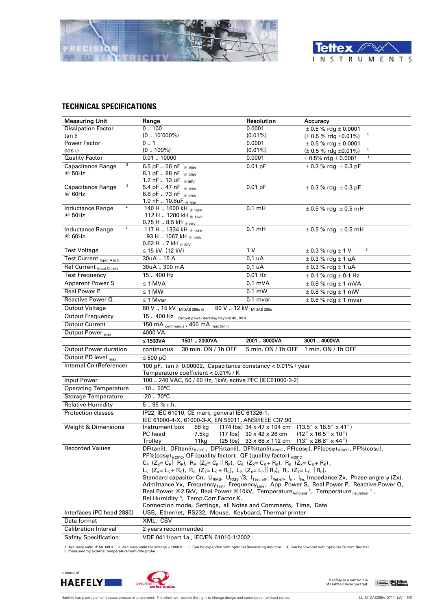



#### **TECHNICAL SPECIFICATIONS**

| <b>Measuring Unit</b>             | Range                                                                                                                                                                                                                                                                    | Resolution                                                             | Accuracy                                                                                                                                                    |
|-----------------------------------|--------------------------------------------------------------------------------------------------------------------------------------------------------------------------------------------------------------------------------------------------------------------------|------------------------------------------------------------------------|-------------------------------------------------------------------------------------------------------------------------------------------------------------|
| <b>Dissipation Factor</b>         | 0.100                                                                                                                                                                                                                                                                    | 0.0001                                                                 | $\pm$ 0.5 % rdg $\pm$ 0.0001                                                                                                                                |
| tan $\delta$                      | $(010'000\%)$                                                                                                                                                                                                                                                            | $(0.01\%)$                                                             | $\mathbf{1}$<br>$(\pm 0.5 \%$ rdg $\pm 0.01\%)$                                                                                                             |
| Power Factor                      | 0.1                                                                                                                                                                                                                                                                      | 0.0001                                                                 | $\pm$ 0.5 % rdg $\pm$ 0.0001                                                                                                                                |
| $\cos \varphi$                    | $(0100\%)$                                                                                                                                                                                                                                                               | $(0.01\%)$                                                             | $(\pm 0.5 \%$ rdg $\pm 0.01\%)$                                                                                                                             |
| <b>Quality Factor</b>             | 0.0110000                                                                                                                                                                                                                                                                | 0.0001                                                                 | $\mathbf{1}$<br>$\pm$ 0.5% rdg $\pm$ 0.0001                                                                                                                 |
| 3<br><b>Capacitance Range</b>     | $6.5$ pF  56 nF $_{\odot}$ 15kV                                                                                                                                                                                                                                          | $0.01$ pF                                                              | $\pm$ 0.3 % rdg $\pm$ 0.3 pF                                                                                                                                |
| @ 50Hz                            | 8.1 pF 88 nF @ 12kV                                                                                                                                                                                                                                                      |                                                                        |                                                                                                                                                             |
| 3<br>Capacitance Range            | 1.2 nF  13 uF @ 80V<br>$\overline{5.4 \text{ pF}}$ 47 nF @ 15kV                                                                                                                                                                                                          | $0.01$ pF                                                              | $\pm$ 0.3 % rdg $\pm$ 0.3 pF                                                                                                                                |
| @ 60Hz                            | 6.8 pF  73 nF @ 12kV                                                                                                                                                                                                                                                     |                                                                        |                                                                                                                                                             |
|                                   | 1.0 nF  10.8uF @ 80V                                                                                                                                                                                                                                                     |                                                                        |                                                                                                                                                             |
| 4<br>Inductance Range             | $140 H$ 1600 kH $_{\odot}$ 15kV                                                                                                                                                                                                                                          | $0.1$ mH                                                               | $\pm$ 0.5 % rdg $\pm$ 0.5 mH                                                                                                                                |
| @ 50Hz                            | 112 H  1280 kH @ 12kV                                                                                                                                                                                                                                                    |                                                                        |                                                                                                                                                             |
| 4                                 | 0.75 H $\ldots$ 8.5 kH $_{\tiny{\textcircled{\tiny{80V}}}}$                                                                                                                                                                                                              |                                                                        |                                                                                                                                                             |
| <b>Inductance Range</b><br>@ 60Hz | 117 H  1334 kH @ 15kV<br>93 H  1067 kH @ 12kV                                                                                                                                                                                                                            | $0.1 \text{ mH}$                                                       | $\pm$ 0.5 % rdg $\pm$ 0.5 mH                                                                                                                                |
|                                   | 0.62 H $\ldots$ 7 kH $_{\tiny{\textcircled{\tiny{80V}}}}$                                                                                                                                                                                                                |                                                                        |                                                                                                                                                             |
| <b>Test Voltage</b>               | $\leq$ 15 kV (12 kV)                                                                                                                                                                                                                                                     | 1 <sub>V</sub>                                                         | $\overline{2}$<br>$\pm$ 0.3 % rdg $\pm$ 1 V                                                                                                                 |
| Test Current Input A & B          | 30uA  15 A                                                                                                                                                                                                                                                               | $0,1$ uA                                                               | $\pm$ 0.3 % rdg $\pm$ 1 uA                                                                                                                                  |
| Ref Current Input Cn ext          | 30uA  300 mA                                                                                                                                                                                                                                                             | 0.1 uA                                                                 | $\pm$ 0.3 % rdg $\pm$ 1 uA                                                                                                                                  |
| <b>Test Frequency</b>             | 15.400 Hz                                                                                                                                                                                                                                                                | $0.01$ Hz                                                              | $\pm$ 0.1 % rdg $\pm$ 0.1 Hz                                                                                                                                |
| <b>Apparent Power S</b>           | $\leq$ 1 MVA                                                                                                                                                                                                                                                             | $0.1$ mVA                                                              | $\pm$ 0.8 % rdg $\pm$ 1 mVA                                                                                                                                 |
| <b>Real Power P</b>               | $\leq$ 1 MW                                                                                                                                                                                                                                                              | $0.1 \text{ mW}$                                                       | $\pm$ 0.8 % rdg $\pm$ 1 mW                                                                                                                                  |
| Reactive Power Q                  | $\leq$ 1 Mvar                                                                                                                                                                                                                                                            | $0.1$ mvar                                                             | $\pm$ 0.8 % rdg $\pm$ 1 mvar                                                                                                                                |
| <b>Output Voltage</b>             | 80 V  15 kV MIDAS 288x G                                                                                                                                                                                                                                                 | 80 V  12 kV MIDAS 288x                                                 |                                                                                                                                                             |
| <b>Output Frequency</b>           | 15  400 Hz Output power derating beyond 4070Hz                                                                                                                                                                                                                           |                                                                        |                                                                                                                                                             |
| <b>Output Current</b>             | 150 mA continuous, 450 mA max 5min.                                                                                                                                                                                                                                      |                                                                        |                                                                                                                                                             |
| Output Power <sub>max</sub>       | 4000 VA                                                                                                                                                                                                                                                                  |                                                                        |                                                                                                                                                             |
|                                   |                                                                                                                                                                                                                                                                          |                                                                        |                                                                                                                                                             |
|                                   | 1501  2000VA<br>≤ 1500 $VA$                                                                                                                                                                                                                                              | 20013000VA                                                             | 30014000VA                                                                                                                                                  |
| <b>Output Power duration</b>      | 30 min. ON / 1h OFF<br>continuous                                                                                                                                                                                                                                        | 5 min. ON / 1h OFF                                                     | 1 min. ON / 1h OFF                                                                                                                                          |
| Output PD level $_{max}$          | ≤ 500 pC                                                                                                                                                                                                                                                                 |                                                                        |                                                                                                                                                             |
| Internal Cn (Reference)           |                                                                                                                                                                                                                                                                          |                                                                        |                                                                                                                                                             |
|                                   | 100 pF, tan $\delta$ 0.00002, Capacitance constancy < 0.01% / year<br>Temperature coefficient < 0.01% / K                                                                                                                                                                |                                                                        |                                                                                                                                                             |
| Input Power                       | 100  240 VAC, 50 / 60 Hz, 1kW, active PFC (IEC61000-3-2)                                                                                                                                                                                                                 |                                                                        |                                                                                                                                                             |
| <b>Operating Temperature</b>      | $-10.50^{\circ}$ C                                                                                                                                                                                                                                                       |                                                                        |                                                                                                                                                             |
| <b>Storage Temperature</b>        | $-20.70^{\circ}$ C                                                                                                                                                                                                                                                       |                                                                        |                                                                                                                                                             |
| <b>Relative Humidity</b>          | 5.95 % r.h.                                                                                                                                                                                                                                                              |                                                                        |                                                                                                                                                             |
| <b>Protection classes</b>         | IP22, IEC 61010, CE mark, general IEC 61326-1,                                                                                                                                                                                                                           |                                                                        |                                                                                                                                                             |
|                                   | IEC 61000-4-X, 61000-3-X, EN 55011, ANSI/IEEE C37.90                                                                                                                                                                                                                     |                                                                        |                                                                                                                                                             |
| Weight & Dimensions               | Instrument box<br>58 kg                                                                                                                                                                                                                                                  | $(174 \text{ lbs})$ 34 x 47 x 104 cm                                   | $(13.5'' \times 18.5'' \times 41'')$                                                                                                                        |
|                                   | PC head<br>7.5kg                                                                                                                                                                                                                                                         | $(17 \text{ lbs})$ 30 x 42 x 26 cm                                     | $(12'' \times 16.5'' \times 10'')$                                                                                                                          |
| <b>Recorded Values</b>            | Trolley<br>11kg                                                                                                                                                                                                                                                          | $(25 \text{ lbs})$ 33 x 68 x 112 cm $(13'' \times 26.8'' \times 44'')$ |                                                                                                                                                             |
|                                   | $DF(tan\delta)$ , $DF(tan\delta)_{@20°C}$ , $DF\%$ (tan $\delta$ ), $DF\%$ (tan $\delta$ ) <sub>@20°C</sub> , $PF(cos\phi)$ , $PF(cos\phi)_{@20°C}$ , $PF\%(cos\phi)$ ,<br>PF%(coso) @20°C, QF (quality factor), QF (quality factor) @20°C                               |                                                                        |                                                                                                                                                             |
|                                   | $C_P$ (Z <sub>X</sub> = C <sub>P</sub>   R <sub>P</sub> ), R <sub>P</sub> (Z <sub>X</sub> = C <sub>P</sub>   R <sub>P</sub> ), C <sub>S</sub> (Z <sub>X</sub> = C <sub>S</sub> + R <sub>S</sub> ), R <sub>S</sub> (Z <sub>X</sub> = C <sub>S</sub> + R <sub>S</sub> ),   |                                                                        |                                                                                                                                                             |
|                                   | $L_S$ (Z <sub>X</sub> = L <sub>S</sub> + R <sub>S</sub> ), R <sub>S</sub> (Z <sub>X</sub> = L <sub>S</sub> + R <sub>S</sub> ), L <sub>P</sub> (Z <sub>X</sub> = L <sub>P</sub>    R <sub>P</sub> ), R <sub>P</sub> (Z <sub>X</sub> = L <sub>P</sub>    R <sub>P</sub> ), |                                                                        |                                                                                                                                                             |
|                                   |                                                                                                                                                                                                                                                                          |                                                                        | Standard capacitor Cn, $U_{RMS}$ , $U_{RMS}$ $\sqrt{3}$ , $I_{Test\ eff}$ , $I_{Ref\ eff}$ , $I_{m}$ , $I_{Fe}$ , Impedance Zx, Phase-angle $\varphi$ (Zx), |
|                                   |                                                                                                                                                                                                                                                                          |                                                                        | Admittance Yx, Frequency <sub>Test</sub> , Frequency <sub>Line</sub> , App. Power S, Real Power P, Reactive Power Q,                                        |
|                                   | Real Power @2.5kV, Real Power @10kV, Temperature <sub>Ambient</sub> <sup>5</sup> , Temperature <sub>Insulation</sub> <sup>5</sup> ,                                                                                                                                      |                                                                        |                                                                                                                                                             |
|                                   | Rel.Humidity <sup>5</sup> , Temp.Corr.Factor K,<br>Connection mode, Settings, all Notes and Comments, Time, Date                                                                                                                                                         |                                                                        |                                                                                                                                                             |
| Interfaces (PC head 2880)         | USB, Ethernet, RS232, Mouse, Keyboard, Thermal printer                                                                                                                                                                                                                   |                                                                        |                                                                                                                                                             |
| Data format                       | XML, CSV                                                                                                                                                                                                                                                                 |                                                                        |                                                                                                                                                             |
| <b>Calibration Interval</b>       | 2 years recommended                                                                                                                                                                                                                                                      |                                                                        |                                                                                                                                                             |
| <b>Safety Specification</b>       | VDE 0411/part 1a, IEC/EN 61010-1:2002                                                                                                                                                                                                                                    |                                                                        |                                                                                                                                                             |

1 Accuracy valid @ 50..60Hz 2 Accuracy valid for voltage > 1000 V 3 Can be expanded with optional Resonating Inductor 4 Can be lowered with optional Current Booster 5 measured by external temperature/humidity probe